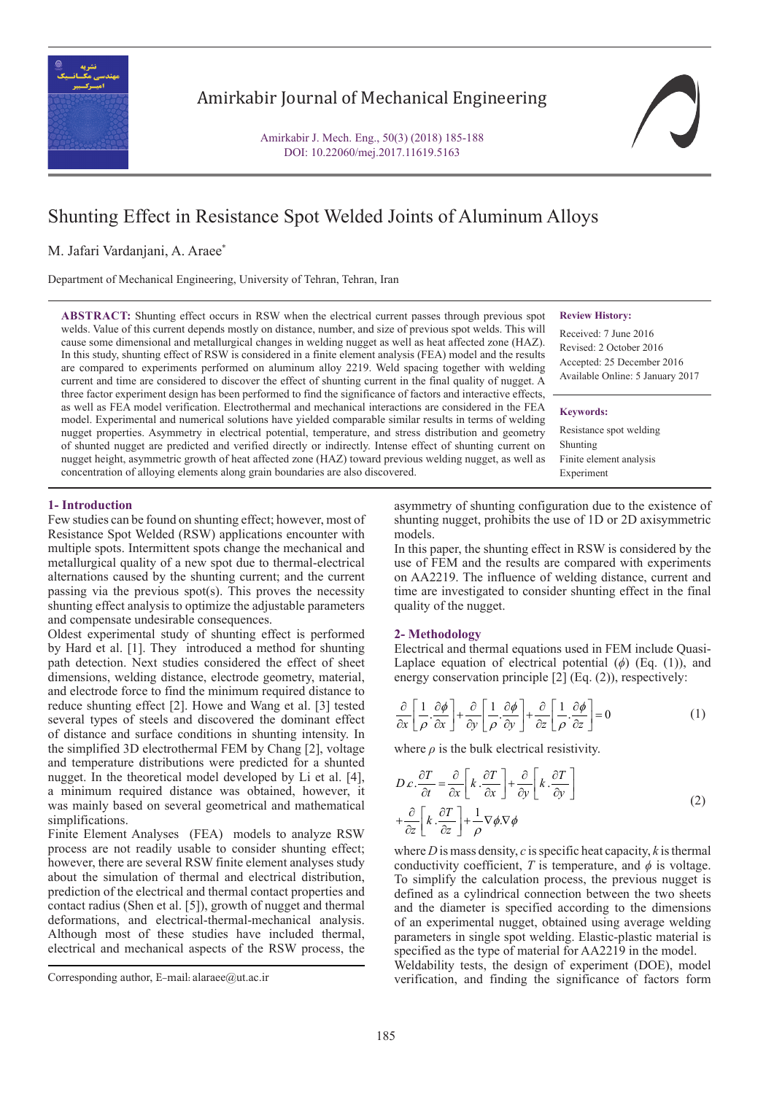

## Amirkabir Journal of Mechanical Engineering

Amirkabir J. Mech. Eng., 50(3) (2018) 185-188 DOI: 10.22060/mej.2017.11619.5163

# Shunting Effect in Resistance Spot Welded Joints of Aluminum Alloys

M. Jafari Vardanjani, A. Araee\*

Department of Mechanical Engineering, University of Tehran, Tehran, Iran

**ABSTRACT:** Shunting effect occurs in RSW when the electrical current passes through previous spot welds. Value of this current depends mostly on distance, number, and size of previous spot welds. This will cause some dimensional and metallurgical changes in welding nugget as well as heat affected zone (HAZ). In this study, shunting effect of RSW is considered in a finite element analysis (FEA) model and the results are compared to experiments performed on aluminum alloy 2219. Weld spacing together with welding current and time are considered to discover the effect of shunting current in the final quality of nugget. A three factor experiment design has been performed to find the significance of factors and interactive effects, as well as FEA model verification. Electrothermal and mechanical interactions are considered in the FEA model. Experimental and numerical solutions have yielded comparable similar results in terms of welding nugget properties. Asymmetry in electrical potential, temperature, and stress distribution and geometry of shunted nugget are predicted and verified directly or indirectly. Intense effect of shunting current on nugget height, asymmetric growth of heat affected zone (HAZ) toward previous welding nugget, as well as concentration of alloying elements along grain boundaries are also discovered.

## **Review History:**

Received: 7 June 2016 Revised: 2 October 2016 Accepted: 25 December 2016 Available Online: 5 January 2017

#### **Keywords:**

Resistance spot welding Shunting Finite element analysis Experiment

## **1- Introduction**

Few studies can be found on shunting effect; however, most of Resistance Spot Welded (RSW) applications encounter with multiple spots. Intermittent spots change the mechanical and metallurgical quality of a new spot due to thermal-electrical alternations caused by the shunting current; and the current passing via the previous spot(s). This proves the necessity shunting effect analysis to optimize the adjustable parameters and compensate undesirable consequences.

Oldest experimental study of shunting effect is performed by Hard et al. [1]. They introduced a method for shunting path detection. Next studies considered the effect of sheet dimensions, welding distance, electrode geometry, material, and electrode force to find the minimum required distance to reduce shunting effect [2]. Howe and Wang et al. [3] tested several types of steels and discovered the dominant effect of distance and surface conditions in shunting intensity. In the simplified 3D electrothermal FEM by Chang [2], voltage and temperature distributions were predicted for a shunted nugget. In the theoretical model developed by Li et al. [4], a minimum required distance was obtained, however, it was mainly based on several geometrical and mathematical simplifications.

Finite Element Analyses (FEA) models to analyze RSW process are not readily usable to consider shunting effect; however, there are several RSW finite element analyses study about the simulation of thermal and electrical distribution, prediction of the electrical and thermal contact properties and contact radius (Shen et al. [5]), growth of nugget and thermal deformations, and electrical-thermal-mechanical analysis. Although most of these studies have included thermal, electrical and mechanical aspects of the RSW process, the

asymmetry of shunting configuration due to the existence of shunting nugget, prohibits the use of 1D or 2D axisymmetric models.

In this paper, the shunting effect in RSW is considered by the use of FEM and the results are compared with experiments on AA2219. The influence of welding distance, current and time are investigated to consider shunting effect in the final quality of the nugget.

#### **2- Methodology**

Electrical and thermal equations used in FEM include Quasi-Laplace equation of electrical potential (*ϕ*) (Eq. (1)), and energy conservation principle [2] (Eq. (2)), respectively:

$$
\frac{\partial}{\partial x} \left[ \frac{1}{\rho} \cdot \frac{\partial \phi}{\partial x} \right] + \frac{\partial}{\partial y} \left[ \frac{1}{\rho} \cdot \frac{\partial \phi}{\partial y} \right] + \frac{\partial}{\partial z} \left[ \frac{1}{\rho} \cdot \frac{\partial \phi}{\partial z} \right] = 0 \tag{1}
$$

where  $\rho$  is the bulk electrical resistivity.

$$
D c. \frac{\partial T}{\partial t} = \frac{\partial}{\partial x} \left[ k \cdot \frac{\partial T}{\partial x} \right] + \frac{\partial}{\partial y} \left[ k \cdot \frac{\partial T}{\partial y} \right]
$$
  
+ 
$$
\frac{\partial}{\partial z} \left[ k \cdot \frac{\partial T}{\partial z} \right] + \frac{1}{\rho} \nabla \phi \cdot \nabla \phi
$$
 (2)

where *D* is mass density, *c* is specific heat capacity, *k* is thermal conductivity coefficient, *T* is temperature, and  $\phi$  is voltage. To simplify the calculation process, the previous nugget is defined as a cylindrical connection between the two sheets and the diameter is specified according to the dimensions of an experimental nugget, obtained using average welding parameters in single spot welding. Elastic-plastic material is specified as the type of material for AA2219 in the model.

Weldability tests, the design of experiment (DOE), model Corresponding author, E-mail: alaraee@ut.ac.ir verification, and finding the significance of factors form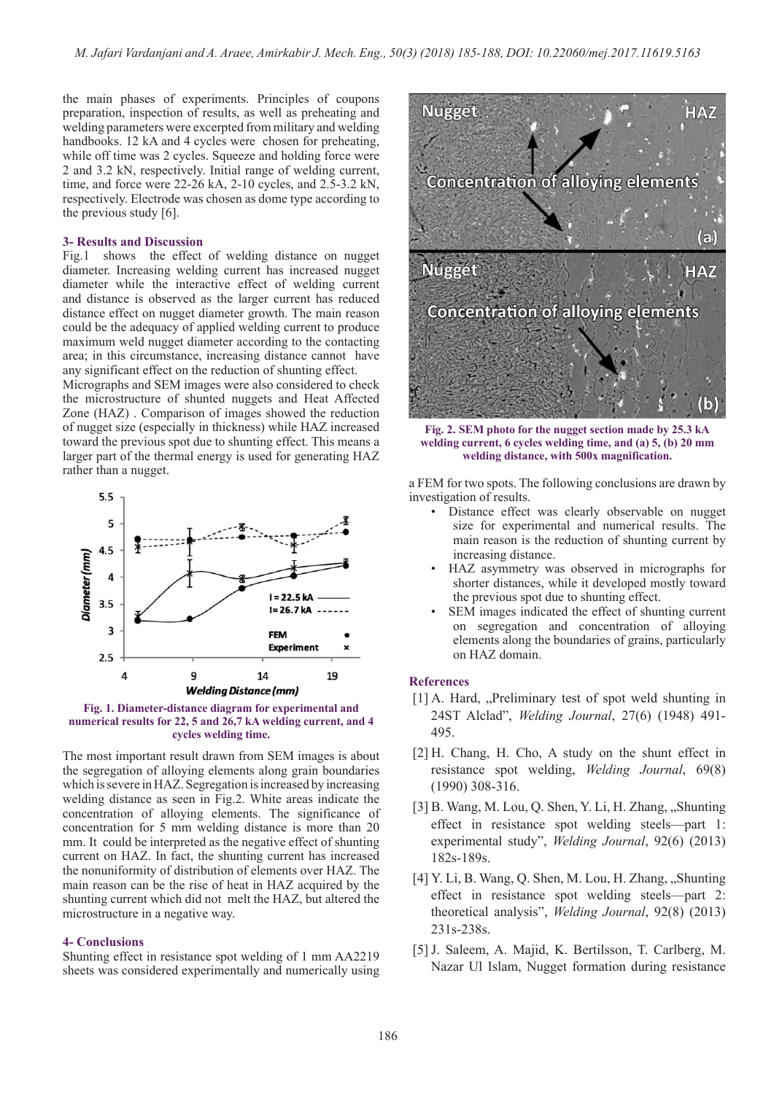the main phases of experiments. Principles of coupons preparation, inspection of results, as well as preheating and welding parameters were excerpted from military and welding handbooks. 12 kA and 4 cycles were chosen for preheating, while off time was 2 cycles. Squeeze and holding force were 2 and 3.2 kN, respectively. Initial range of welding current, time, and force were 22-26 kA, 2-10 cycles, and 2.5-3.2 kN, respectively. Electrode was chosen as dome type according to the previous study [6].

#### **3- Results and Discussion**

Fig.1 shows the effect of welding distance on nugget diameter. Increasing welding current has increased nugget diameter while the interactive effect of welding current and distance is observed as the larger current has reduced distance effect on nugget diameter growth. The main reason could be the adequacy of applied welding current to produce maximum weld nugget diameter according to the contacting area; in this circumstance, increasing distance cannot have any significant effect on the reduction of shunting effect.

Micrographs and SEM images were also considered to check the microstructure of shunted nuggets and Heat Affected Zone (HAZ) . Comparison of images showed the reduction of nugget size (especially in thickness) while HAZ increased toward the previous spot due to shunting effect. This means a larger part of the thermal energy is used for generating HAZ rather than a nugget.



**Fig. 1. Diameter-distance diagram for experimental and numerical results for 22, 5 and 26,7 kA welding current, and 4 cycles welding time.**

The most important result drawn from SEM images is about the segregation of alloying elements along grain boundaries which is severe in HAZ. Segregation is increased by increasing welding distance as seen in Fig.2. White areas indicate the concentration of alloying elements. The significance of concentration for 5 mm welding distance is more than 20 mm. It could be interpreted as the negative effect of shunting current on HAZ. In fact, the shunting current has increased the nonuniformity of distribution of elements over HAZ. The main reason can be the rise of heat in HAZ acquired by the shunting current which did not melt the HAZ, but altered the microstructure in a negative way.

#### **4- Conclusions**

Shunting effect in resistance spot welding of 1 mm AA2219 sheets was considered experimentally and numerically using



**Fig. 2. SEM photo for the nugget section made by 25.3 kA welding current, 6 cycles welding time, and (a) 5, (b) 20 mm welding distance, with 500x magnification.**

a FEM for two spots. The following conclusions are drawn by investigation of results.

- Distance effect was clearly observable on nugget size for experimental and numerical results. The main reason is the reduction of shunting current by increasing distance.
- HAZ asymmetry was observed in micrographs for shorter distances, while it developed mostly toward the previous spot due to shunting effect.
- SEM images indicated the effect of shunting current on segregation and concentration of alloying elements along the boundaries of grains, particularly on HAZ domain.

## **References**

- $[1]$  A. Hard, "Preliminary test of spot weld shunting in 24ST Alclad", *Welding Journal*, 27(6) (1948) 491- 495.
- [2] H. Chang, H. Cho, A study on the shunt effect in resistance spot welding, *Welding Journal*, 69(8) (1990) 308-316.
- [3] B. Wang, M. Lou, Q. Shen, Y. Li, H. Zhang, "Shunting effect in resistance spot welding steels—part 1: experimental study", *Welding Journal*, 92(6) (2013) 182s-189s.
- [4] Y. Li, B. Wang, Q. Shen, M. Lou, H. Zhang, "Shunting effect in resistance spot welding steels—part 2: theoretical analysis", *Welding Journal*, 92(8) (2013) 231s-238s.
- [5] J. Saleem, A. Majid, K. Bertilsson, T. Carlberg, M. Nazar Ul Islam, Nugget formation during resistance